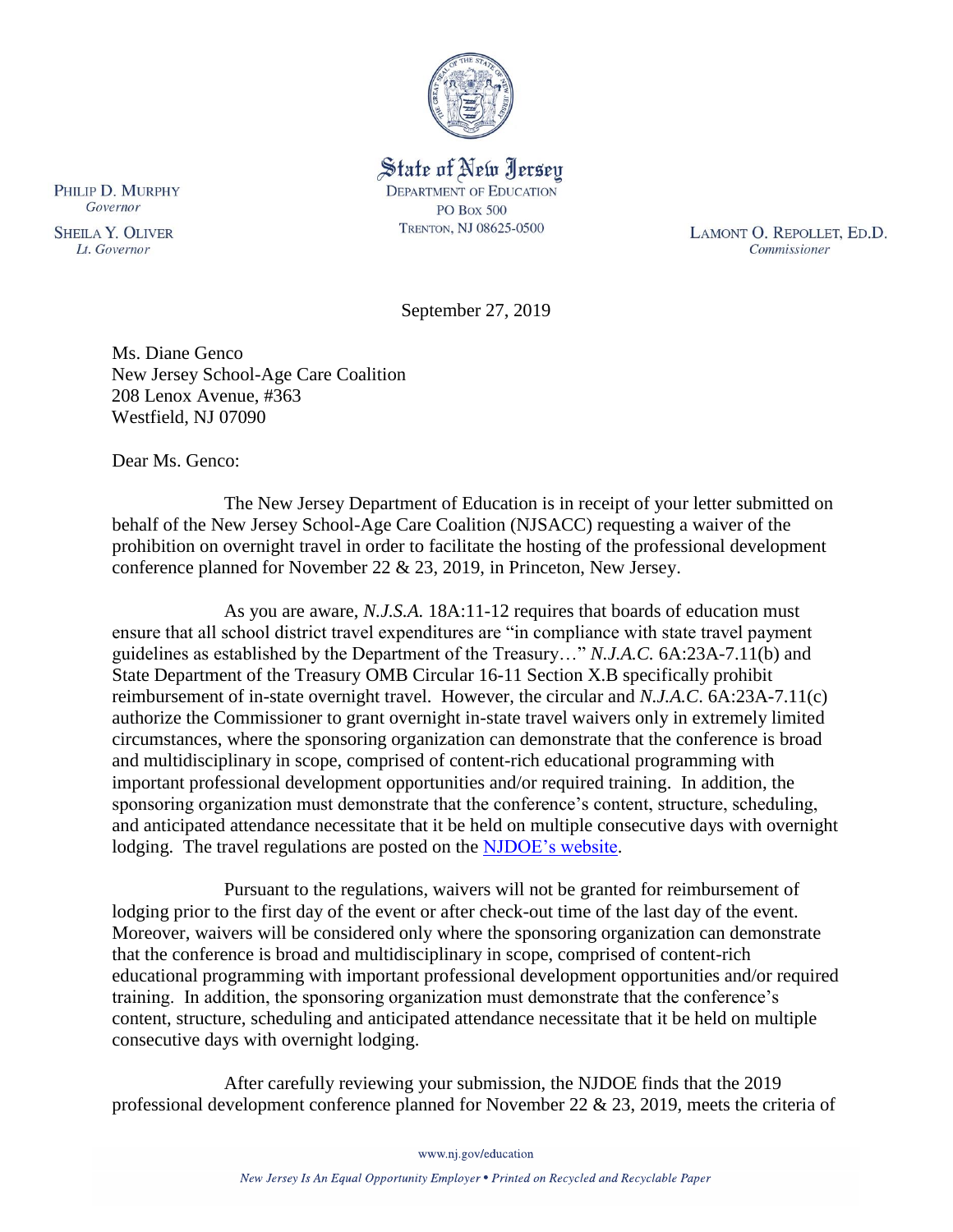

State of New Jersey **DEPARTMENT OF EDUCATION PO Box 500** TRENTON, NJ 08625-0500

LAMONT O. REPOLLET, ED.D. Commissioner

September 27, 2019

Ms. Diane Genco New Jersey School-Age Care Coalition 208 Lenox Avenue, #363 Westfield, NJ 07090

Dear Ms. Genco:

The New Jersey Department of Education is in receipt of your letter submitted on behalf of the New Jersey School-Age Care Coalition (NJSACC) requesting a waiver of the prohibition on overnight travel in order to facilitate the hosting of the professional development conference planned for November 22 & 23, 2019, in Princeton, New Jersey.

As you are aware, *N.J.S.A.* 18A:11-12 requires that boards of education must ensure that all school district travel expenditures are "in compliance with state travel payment guidelines as established by the Department of the Treasury…" *N.J.A.C.* 6A:23A-7.11(b) and State Department of the Treasury OMB Circular 16-11 Section X.B specifically prohibit reimbursement of in-state overnight travel. However, the circular and *N.J.A.C*. 6A:23A-7.11(c) authorize the Commissioner to grant overnight in-state travel waivers only in extremely limited circumstances, where the sponsoring organization can demonstrate that the conference is broad and multidisciplinary in scope, comprised of content-rich educational programming with important professional development opportunities and/or required training. In addition, the sponsoring organization must demonstrate that the conference's content, structure, scheduling, and anticipated attendance necessitate that it be held on multiple consecutive days with overnight lodging. The travel regulations are posted on the [NJDOE's website.](http://www.state.nj.us/education/code/current/title6a/chap23a.pdf)

Pursuant to the regulations, waivers will not be granted for reimbursement of lodging prior to the first day of the event or after check-out time of the last day of the event. Moreover, waivers will be considered only where the sponsoring organization can demonstrate that the conference is broad and multidisciplinary in scope, comprised of content-rich educational programming with important professional development opportunities and/or required training. In addition, the sponsoring organization must demonstrate that the conference's content, structure, scheduling and anticipated attendance necessitate that it be held on multiple consecutive days with overnight lodging.

After carefully reviewing your submission, the NJDOE finds that the 2019 professional development conference planned for November 22 & 23, 2019, meets the criteria of

PHILIP D. MURPHY Governor

**SHEILA Y. OLIVER** Lt. Governor